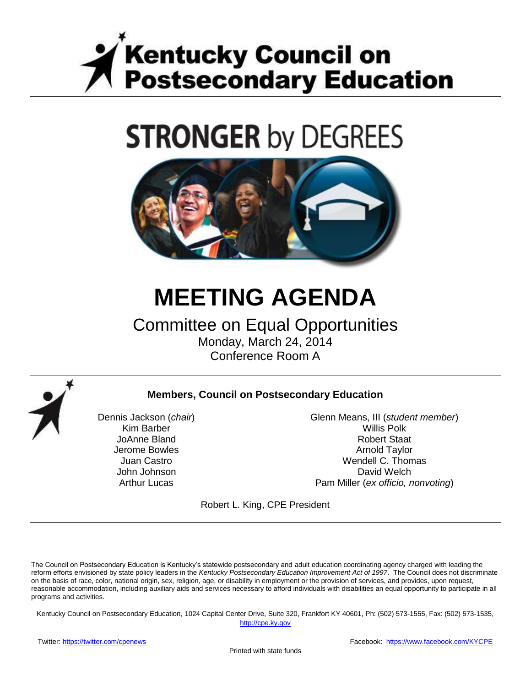

# **STRONGER by DEGREES**



## **MEETING AGENDA**

## Committee on Equal Opportunities Monday, March 24, 2014

Conference Room A



#### **Members, Council on Postsecondary Education**

Dennis Jackson (*chair*) Kim Barber JoAnne Bland Jerome Bowles Juan Castro John Johnson Arthur Lucas

Glenn Means, III (*student member*) Willis Polk Robert Staat Arnold Taylor Wendell C. Thomas David Welch Pam Miller (*ex officio, nonvoting*)

Robert L. King, CPE President

The Council on Postsecondary Education is Kentucky's statewide postsecondary and adult education coordinating agency charged with leading the reform efforts envisioned by state policy leaders in the *Kentucky Postsecondary Education Improvement Act of 1997*. The Council does not discriminate on the basis of race, color, national origin, sex, religion, age, or disability in employment or the provision of services, and provides, upon request, reasonable accommodation, including auxiliary aids and services necessary to afford individuals with disabilities an equal opportunity to participate in all programs and activities.

Kentucky Council on Postsecondary Education, 1024 Capital Center Drive, Suite 320, Frankfort KY 40601, Ph: (502) 573-1555, Fax: (502) 573-1535,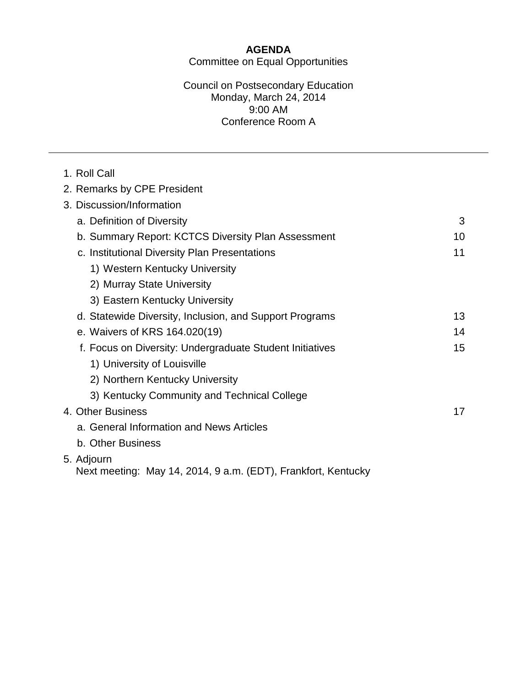#### **AGENDA** Committee on Equal Opportunities

#### Council on Postsecondary Education Monday, March 24, 2014 9:00 AM Conference Room A

| 1. Roll Call                                                  |    |
|---------------------------------------------------------------|----|
| 2. Remarks by CPE President                                   |    |
| 3. Discussion/Information                                     |    |
| a. Definition of Diversity                                    | 3  |
| b. Summary Report: KCTCS Diversity Plan Assessment            | 10 |
| c. Institutional Diversity Plan Presentations                 | 11 |
| 1) Western Kentucky University                                |    |
| 2) Murray State University                                    |    |
| 3) Eastern Kentucky University                                |    |
| d. Statewide Diversity, Inclusion, and Support Programs       | 13 |
| e. Waivers of KRS 164.020(19)                                 | 14 |
| f. Focus on Diversity: Undergraduate Student Initiatives      | 15 |
| 1) University of Louisville                                   |    |
| 2) Northern Kentucky University                               |    |
| 3) Kentucky Community and Technical College                   |    |
| 4. Other Business                                             | 17 |
| a. General Information and News Articles                      |    |
| b. Other Business                                             |    |
| 5. Adjourn                                                    |    |
| Next meeting: May 14, 2014, 9 a.m. (EDT), Frankfort, Kentucky |    |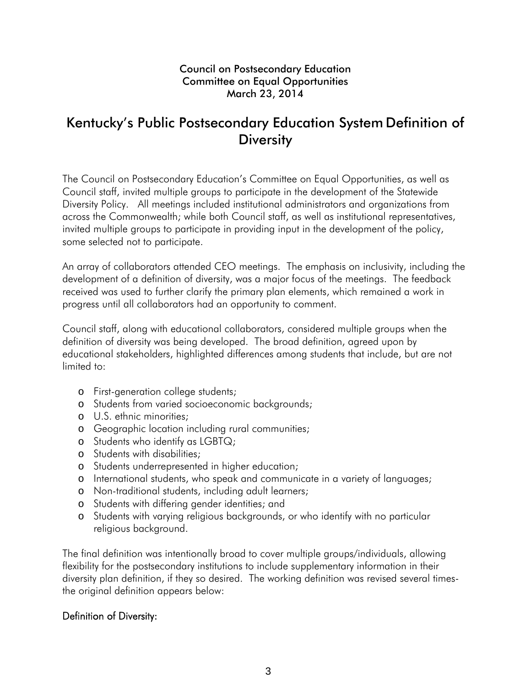#### Council on Postsecondary Education Committee on Equal Opportunities March 23, 2014

## Kentucky's Public Postsecondary Education System Definition of **Diversity**

The Council on Postsecondary Education's Committee on Equal Opportunities, as well as Council staff, invited multiple groups to participate in the development of the Statewide Diversity Policy. All meetings included institutional administrators and organizations from across the Commonwealth; while both Council staff, as well as institutional representatives, invited multiple groups to participate in providing input in the development of the policy, some selected not to participate.

An array of collaborators attended CEO meetings. The emphasis on inclusivity, including the development of a definition of diversity, was a major focus of the meetings. The feedback received was used to further clarify the primary plan elements, which remained a work in progress until all collaborators had an opportunity to comment.

Council staff, along with educational collaborators, considered multiple groups when the definition of diversity was being developed. The broad definition, agreed upon by educational stakeholders, highlighted differences among students that include, but are not limited to:

- o First-generation college students;
- o Students from varied socioeconomic backgrounds;
- o U.S. ethnic minorities;
- o Geographic location including rural communities;
- o Students who identify as LGBTQ;
- o Students with disabilities;
- o Students underrepresented in higher education;
- o International students, who speak and communicate in a variety of languages;
- o Non-traditional students, including adult learners;
- o Students with differing gender identities; and
- o Students with varying religious backgrounds, or who identify with no particular religious background.

The final definition was intentionally broad to cover multiple groups/individuals, allowing flexibility for the postsecondary institutions to include supplementary information in their diversity plan definition, if they so desired. The working definition was revised several timesthe original definition appears below:

#### Definition of Diversity: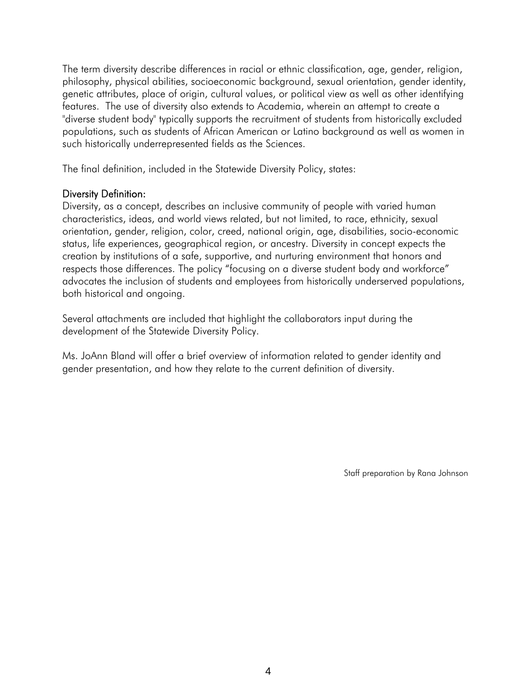The term diversity describe differences in racial or ethnic classification, age, gender, religion, philosophy, physical abilities, socioeconomic background, sexual orientation, gender identity, genetic attributes, place of origin, cultural values, or political view as well as other identifying features. The use of diversity also extends to Academia, wherein an attempt to create a "diverse student body" typically supports the recruitment of students from historically excluded populations, such as students of African American or Latino background as well as women in such historically underrepresented fields as the Sciences.

The final definition, included in the Statewide Diversity Policy, states:

#### Diversity Definition:

Diversity, as a concept, describes an inclusive community of people with varied human characteristics, ideas, and world views related, but not limited, to race, ethnicity, sexual orientation, gender, religion, color, creed, national origin, age, disabilities, socio-economic status, life experiences, geographical region, or ancestry. Diversity in concept expects the creation by institutions of a safe, supportive, and nurturing environment that honors and respects those differences. The policy "focusing on a diverse student body and workforce" advocates the inclusion of students and employees from historically underserved populations, both historical and ongoing.

Several attachments are included that highlight the collaborators input during the development of the Statewide Diversity Policy.

Ms. JoAnn Bland will offer a brief overview of information related to gender identity and gender presentation, and how they relate to the current definition of diversity.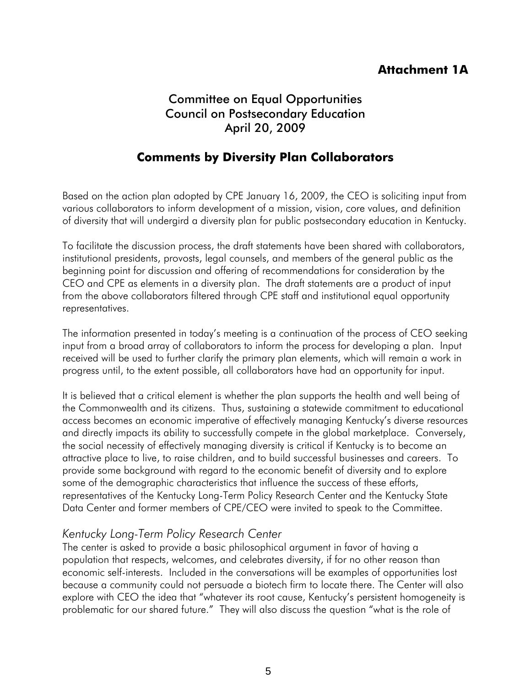## **Attachment 1A**

## Committee on Equal Opportunities Council on Postsecondary Education April 20, 2009

## **Comments by Diversity Plan Collaborators**

Based on the action plan adopted by CPE January 16, 2009, the CEO is soliciting input from various collaborators to inform development of a mission, vision, core values, and definition of diversity that will undergird a diversity plan for public postsecondary education in Kentucky.

To facilitate the discussion process, the draft statements have been shared with collaborators, institutional presidents, provosts, legal counsels, and members of the general public as the beginning point for discussion and offering of recommendations for consideration by the CEO and CPE as elements in a diversity plan. The draft statements are a product of input from the above collaborators filtered through CPE staff and institutional equal opportunity representatives.

The information presented in today's meeting is a continuation of the process of CEO seeking input from a broad array of collaborators to inform the process for developing a plan. Input received will be used to further clarify the primary plan elements, which will remain a work in progress until, to the extent possible, all collaborators have had an opportunity for input.

It is believed that a critical element is whether the plan supports the health and well being of the Commonwealth and its citizens. Thus, sustaining a statewide commitment to educational access becomes an economic imperative of effectively managing Kentucky's diverse resources and directly impacts its ability to successfully compete in the global marketplace. Conversely, the social necessity of effectively managing diversity is critical if Kentucky is to become an attractive place to live, to raise children, and to build successful businesses and careers. To provide some background with regard to the economic benefit of diversity and to explore some of the demographic characteristics that influence the success of these efforts, representatives of the Kentucky Long-Term Policy Research Center and the Kentucky State Data Center and former members of CPE/CEO were invited to speak to the Committee.

#### *Kentucky Long-Term Policy Research Center*

The center is asked to provide a basic philosophical argument in favor of having a population that respects, welcomes, and celebrates diversity, if for no other reason than economic self-interests. Included in the conversations will be examples of opportunities lost because a community could not persuade a biotech firm to locate there. The Center will also explore with CEO the idea that "whatever its root cause, Kentucky's persistent homogeneity is problematic for our shared future." They will also discuss the question "what is the role of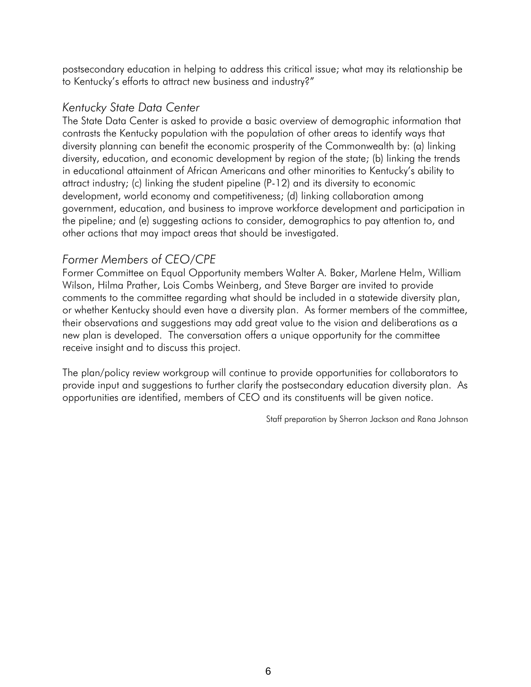postsecondary education in helping to address this critical issue; what may its relationship be to Kentucky's efforts to attract new business and industry?"

#### *Kentucky State Data Center*

The State Data Center is asked to provide a basic overview of demographic information that contrasts the Kentucky population with the population of other areas to identify ways that diversity planning can benefit the economic prosperity of the Commonwealth by: (a) linking diversity, education, and economic development by region of the state; (b) linking the trends in educational attainment of African Americans and other minorities to Kentucky's ability to attract industry; (c) linking the student pipeline (P-12) and its diversity to economic development, world economy and competitiveness; (d) linking collaboration among government, education, and business to improve workforce development and participation in the pipeline; and (e) suggesting actions to consider, demographics to pay attention to, and other actions that may impact areas that should be investigated.

#### *Former Members of CEO/CPE*

Former Committee on Equal Opportunity members Walter A. Baker, Marlene Helm, William Wilson, Hilma Prather, Lois Combs Weinberg, and Steve Barger are invited to provide comments to the committee regarding what should be included in a statewide diversity plan, or whether Kentucky should even have a diversity plan. As former members of the committee, their observations and suggestions may add great value to the vision and deliberations as a new plan is developed. The conversation offers a unique opportunity for the committee receive insight and to discuss this project.

The plan/policy review workgroup will continue to provide opportunities for collaborators to provide input and suggestions to further clarify the postsecondary education diversity plan. As opportunities are identified, members of CEO and its constituents will be given notice.

Staff preparation by Sherron Jackson and Rana Johnson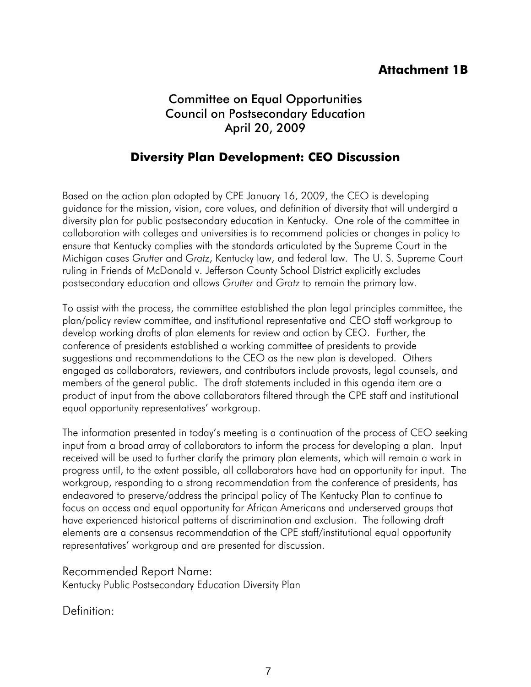## **Attachment 1B**

## Committee on Equal Opportunities Council on Postsecondary Education April 20, 2009

## **Diversity Plan Development: CEO Discussion**

Based on the action plan adopted by CPE January 16, 2009, the CEO is developing guidance for the mission, vision, core values, and definition of diversity that will undergird a diversity plan for public postsecondary education in Kentucky. One role of the committee in collaboration with colleges and universities is to recommend policies or changes in policy to ensure that Kentucky complies with the standards articulated by the Supreme Court in the Michigan cases *Grutter* and *Gratz*, Kentucky law, and federal law. The U. S. Supreme Court ruling in Friends of McDonald v. Jefferson County School District explicitly excludes postsecondary education and allows *Grutter* and *Gratz* to remain the primary law.

To assist with the process, the committee established the plan legal principles committee, the plan/policy review committee, and institutional representative and CEO staff workgroup to develop working drafts of plan elements for review and action by CEO. Further, the conference of presidents established a working committee of presidents to provide suggestions and recommendations to the CEO as the new plan is developed. Others engaged as collaborators, reviewers, and contributors include provosts, legal counsels, and members of the general public. The draft statements included in this agenda item are a product of input from the above collaborators filtered through the CPE staff and institutional equal opportunity representatives' workgroup.

The information presented in today's meeting is a continuation of the process of CEO seeking input from a broad array of collaborators to inform the process for developing a plan. Input received will be used to further clarify the primary plan elements, which will remain a work in progress until, to the extent possible, all collaborators have had an opportunity for input. The workgroup, responding to a strong recommendation from the conference of presidents, has endeavored to preserve/address the principal policy of The Kentucky Plan to continue to focus on access and equal opportunity for African Americans and underserved groups that have experienced historical patterns of discrimination and exclusion. The following draft elements are a consensus recommendation of the CPE staff/institutional equal opportunity representatives' workgroup and are presented for discussion.

Recommended Report Name:

Kentucky Public Postsecondary Education Diversity Plan

Definition: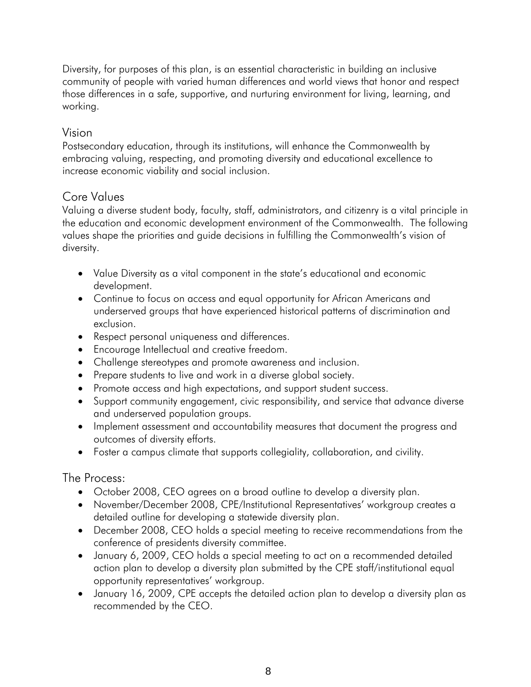Diversity, for purposes of this plan, is an essential characteristic in building an inclusive community of people with varied human differences and world views that honor and respect those differences in a safe, supportive, and nurturing environment for living, learning, and working.

#### Vision

Postsecondary education, through its institutions, will enhance the Commonwealth by embracing valuing, respecting, and promoting diversity and educational excellence to increase economic viability and social inclusion.

#### Core Values

Valuing a diverse student body, faculty, staff, administrators, and citizenry is a vital principle in the education and economic development environment of the Commonwealth. The following values shape the priorities and guide decisions in fulfilling the Commonwealth's vision of diversity.

- Value Diversity as a vital component in the state's educational and economic development.
- Continue to focus on access and equal opportunity for African Americans and underserved groups that have experienced historical patterns of discrimination and exclusion.
- Respect personal uniqueness and differences.
- Encourage Intellectual and creative freedom.
- Challenge stereotypes and promote awareness and inclusion.
- Prepare students to live and work in a diverse global society.
- Promote access and high expectations, and support student success.
- Support community engagement, civic responsibility, and service that advance diverse and underserved population groups.
- Implement assessment and accountability measures that document the progress and outcomes of diversity efforts.
- Foster a campus climate that supports collegiality, collaboration, and civility.

The Process:

- October 2008, CEO agrees on a broad outline to develop a diversity plan.
- November/December 2008, CPE/Institutional Representatives' workgroup creates a detailed outline for developing a statewide diversity plan.
- December 2008, CEO holds a special meeting to receive recommendations from the conference of presidents diversity committee.
- January 6, 2009, CEO holds a special meeting to act on a recommended detailed action plan to develop a diversity plan submitted by the CPE staff/institutional equal opportunity representatives' workgroup.
- January 16, 2009, CPE accepts the detailed action plan to develop a diversity plan as recommended by the CEO.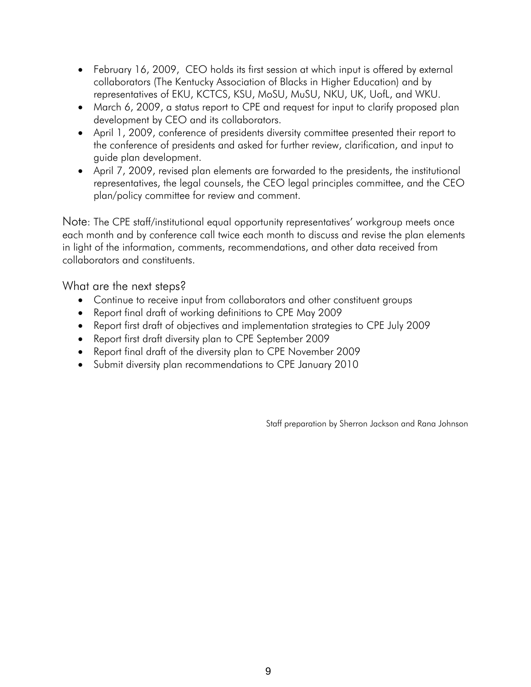- February 16, 2009, CEO holds its first session at which input is offered by external collaborators (The Kentucky Association of Blacks in Higher Education) and by representatives of EKU, KCTCS, KSU, MoSU, MuSU, NKU, UK, UofL, and WKU.
- March 6, 2009, a status report to CPE and request for input to clarify proposed plan development by CEO and its collaborators.
- April 1, 2009, conference of presidents diversity committee presented their report to the conference of presidents and asked for further review, clarification, and input to guide plan development.
- April 7, 2009, revised plan elements are forwarded to the presidents, the institutional representatives, the legal counsels, the CEO legal principles committee, and the CEO plan/policy committee for review and comment.

Note: The CPE staff/institutional equal opportunity representatives' workgroup meets once each month and by conference call twice each month to discuss and revise the plan elements in light of the information, comments, recommendations, and other data received from collaborators and constituents.

What are the next steps?

- Continue to receive input from collaborators and other constituent groups
- Report final draft of working definitions to CPE May 2009
- Report first draft of objectives and implementation strategies to CPE July 2009
- Report first draft diversity plan to CPE September 2009
- Report final draft of the diversity plan to CPE November 2009
- Submit diversity plan recommendations to CPE January 2010

Staff preparation by Sherron Jackson and Rana Johnson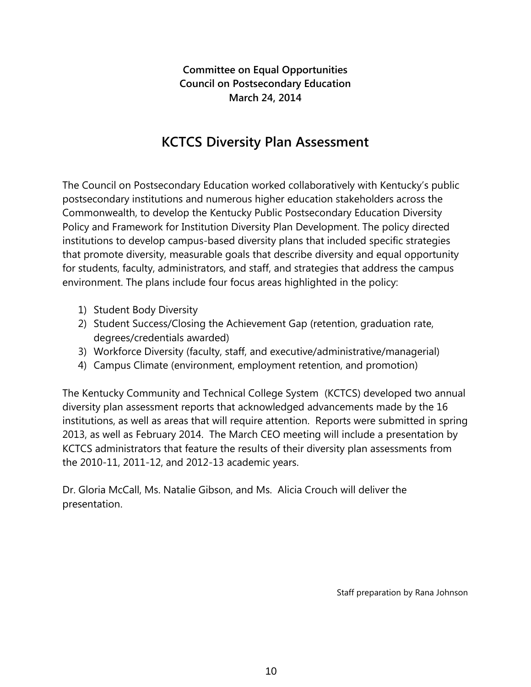**Committee on Equal Opportunities Council on Postsecondary Education March 24, 2014**

## **KCTCS Diversity Plan Assessment**

The Council on Postsecondary Education worked collaboratively with Kentucky's public postsecondary institutions and numerous higher education stakeholders across the Commonwealth, to develop the Kentucky Public Postsecondary Education Diversity Policy and Framework for Institution Diversity Plan Development. The policy directed institutions to develop campus-based diversity plans that included specific strategies that promote diversity, measurable goals that describe diversity and equal opportunity for students, faculty, administrators, and staff, and strategies that address the campus environment. The plans include four focus areas highlighted in the policy:

- 1) Student Body Diversity
- 2) Student Success/Closing the Achievement Gap (retention, graduation rate, degrees/credentials awarded)
- 3) Workforce Diversity (faculty, staff, and executive/administrative/managerial)
- 4) Campus Climate (environment, employment retention, and promotion)

The Kentucky Community and Technical College System (KCTCS) developed two annual diversity plan assessment reports that acknowledged advancements made by the 16 institutions, as well as areas that will require attention. Reports were submitted in spring 2013, as well as February 2014. The March CEO meeting will include a presentation by KCTCS administrators that feature the results of their diversity plan assessments from the 2010-11, 2011-12, and 2012-13 academic years.

Dr. Gloria McCall, Ms. Natalie Gibson, and Ms. Alicia Crouch will deliver the presentation.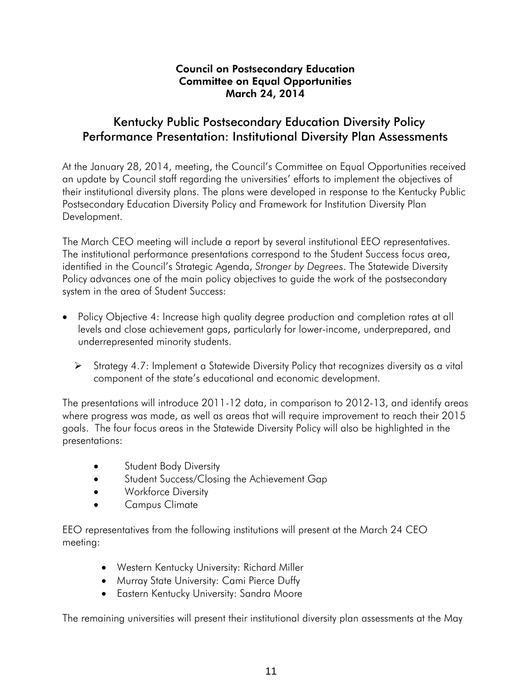#### Council on Postsecondary Education Committee on Equal Opportunities March 24, 2014

#### Kentucky Public Postsecondary Education Diversity Policy Performance Presentation: Institutional Diversity Plan Assessments

At the January 28, 2014, meeting, the Council's Committee on Equal Opportunities received an update by Council staff regarding the universities' efforts to implement the objectives of their institutional diversity plans. The plans were developed in response to the Kentucky Public Postsecondary Education Diversity Policy and Framework for Institution Diversity Plan Development.

The March CEO meeting will include a report by several institutional EEO representatives. The institutional performance presentations correspond to the Student Success focus area, identified in the Council's Strategic Agenda, *Stronger by Degrees*. The Statewide Diversity Policy advances one of the main policy objectives to guide the work of the postsecondary system in the area of Student Success:

- Policy Objective 4: Increase high quality degree production and completion rates at all levels and close achievement gaps, particularly for lower-income, underprepared, and underrepresented minority students.
	- Strategy 4.7: Implement a Statewide Diversity Policy that recognizes diversity as a vital component of the state's educational and economic development.

The presentations will introduce 2011-12 data, in comparison to 2012-13, and identify areas where progress was made, as well as areas that will require improvement to reach their 2015 goals. The four focus areas in the Statewide Diversity Policy will also be highlighted in the presentations:

- **•** Student Body Diversity
- **Student Success/Closing the Achievement Gap**
- **•** Workforce Diversity
- Campus Climate

EEO representatives from the following institutions will present at the March 24 CEO meeting:

- Western Kentucky University: Richard Miller
- Murray State University: Cami Pierce Duffy
- Eastern Kentucky University: Sandra Moore

The remaining universities will present their institutional diversity plan assessments at the May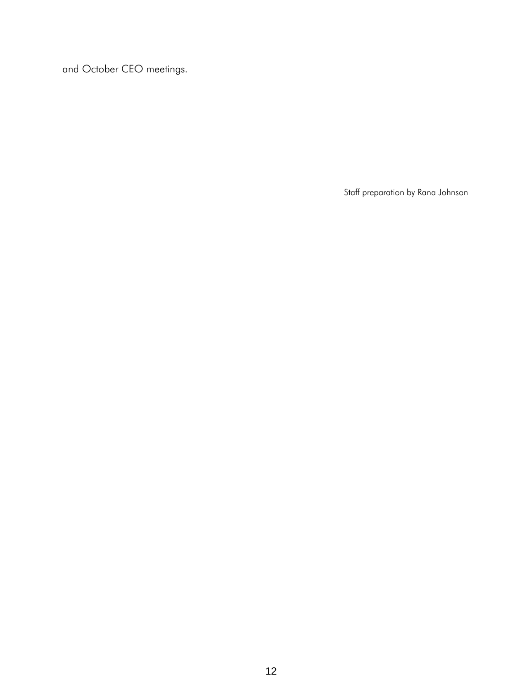and October CEO meetings.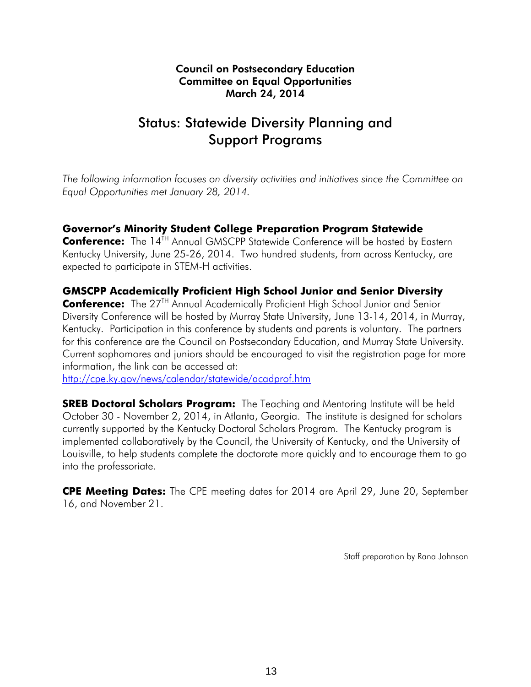#### Council on Postsecondary Education Committee on Equal Opportunities March 24, 2014

## Status: Statewide Diversity Planning and Support Programs

*The following information focuses on diversity activities and initiatives since the Committee on Equal Opportunities met January 28, 2014.* 

#### **Governor's Minority Student College Preparation Program Statewide**

**Conference:** The 14<sup>TH</sup> Annual GMSCPP Statewide Conference will be hosted by Eastern Kentucky University, June 25-26, 2014. Two hundred students, from across Kentucky, are expected to participate in STEM-H activities.

#### **GMSCPP Academically Proficient High School Junior and Senior Diversity**

**Conference:** The 27<sup>TH</sup> Annual Academically Proficient High School Junior and Senior Diversity Conference will be hosted by Murray State University, June 13-14, 2014, in Murray, Kentucky. Participation in this conference by students and parents is voluntary. The partners for this conference are the Council on Postsecondary Education, and Murray State University. Current sophomores and juniors should be encouraged to visit the registration page for more information, the link can be accessed at:

http://cpe.ky.gov/news/calendar/statewide/acadprof.htm

**SREB Doctoral Scholars Program:** The Teaching and Mentoring Institute will be held October 30 - November 2, 2014, in Atlanta, Georgia. The institute is designed for scholars currently supported by the Kentucky Doctoral Scholars Program. The Kentucky program is implemented collaboratively by the Council, the University of Kentucky, and the University of Louisville, to help students complete the doctorate more quickly and to encourage them to go into the professoriate.

**CPE Meeting Dates:** The CPE meeting dates for 2014 are April 29, June 20, September 16, and November 21.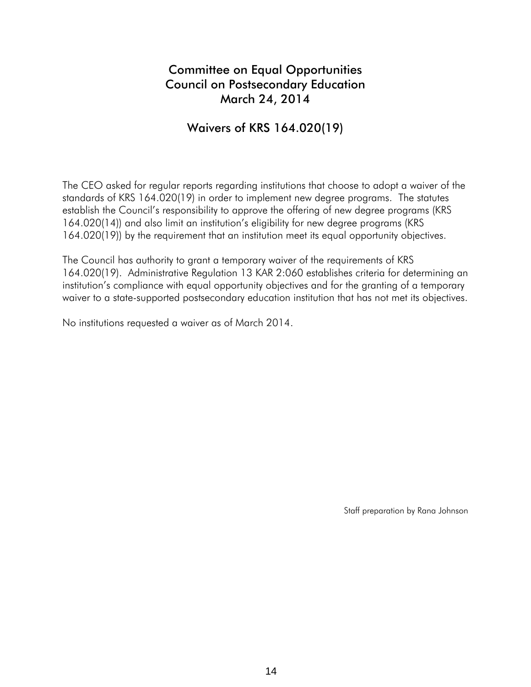## Committee on Equal Opportunities Council on Postsecondary Education March 24, 2014

#### Waivers of KRS 164.020(19)

The CEO asked for regular reports regarding institutions that choose to adopt a waiver of the standards of KRS 164.020(19) in order to implement new degree programs. The statutes establish the Council's responsibility to approve the offering of new degree programs (KRS 164.020(14)) and also limit an institution's eligibility for new degree programs (KRS 164.020(19)) by the requirement that an institution meet its equal opportunity objectives.

The Council has authority to grant a temporary waiver of the requirements of KRS 164.020(19). Administrative Regulation 13 KAR 2:060 establishes criteria for determining an institution's compliance with equal opportunity objectives and for the granting of a temporary waiver to a state-supported postsecondary education institution that has not met its objectives.

No institutions requested a waiver as of March 2014.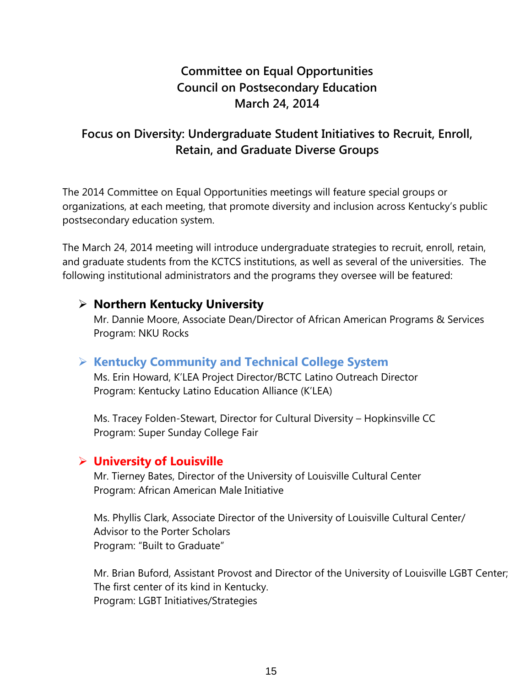## **Committee on Equal Opportunities Council on Postsecondary Education March 24, 2014**

## **Focus on Diversity: Undergraduate Student Initiatives to Recruit, Enroll, Retain, and Graduate Diverse Groups**

The 2014 Committee on Equal Opportunities meetings will feature special groups or organizations, at each meeting, that promote diversity and inclusion across Kentucky's public postsecondary education system.

The March 24, 2014 meeting will introduce undergraduate strategies to recruit, enroll, retain, and graduate students from the KCTCS institutions, as well as several of the universities. The following institutional administrators and the programs they oversee will be featured:

#### **Northern Kentucky University**

Mr. Dannie Moore, Associate Dean/Director of African American Programs & Services Program: NKU Rocks

#### **Kentucky Community and Technical College System**

Ms. Erin Howard, K'LEA Project Director/BCTC Latino Outreach Director Program: Kentucky Latino Education Alliance (K'LEA)

Ms. Tracey Folden-Stewart, Director for Cultural Diversity – Hopkinsville CC Program: Super Sunday College Fair

#### **University of Louisville**

Mr. Tierney Bates, Director of the University of Louisville Cultural Center Program: African American Male Initiative

Ms. Phyllis Clark, Associate Director of the University of Louisville Cultural Center/ Advisor to the Porter Scholars Program: "Built to Graduate"

Mr. Brian Buford, Assistant Provost and Director of the University of Louisville LGBT Center; The first center of its kind in Kentucky. Program: LGBT Initiatives/Strategies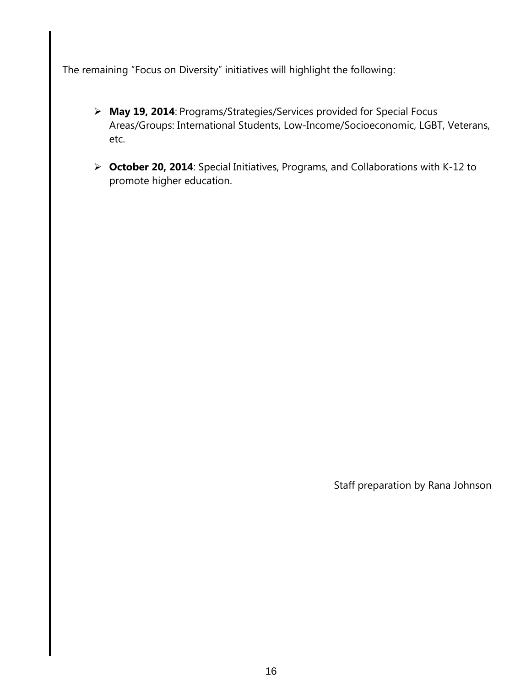The remaining "Focus on Diversity" initiatives will highlight the following:

- **May 19, 2014**: Programs/Strategies/Services provided for Special Focus Areas/Groups: International Students, Low-Income/Socioeconomic, LGBT, Veterans, etc.
- **October 20, 2014**: Special Initiatives, Programs, and Collaborations with K-12 to promote higher education.